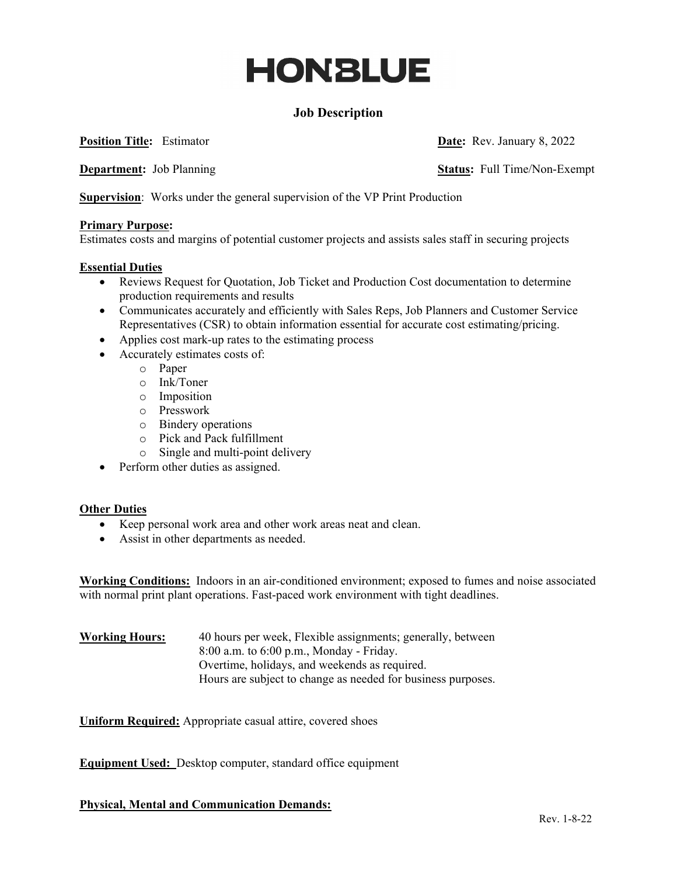# **HONBLUE**

# **Job Description**

**Position Title:** Estimator **Date: Rev. January 8, 2022** 

**Department:** Job Planning **Status:** Full Time/Non-Exempt

**Supervision**: Works under the general supervision of the VP Print Production

#### **Primary Purpose:**

Estimates costs and margins of potential customer projects and assists sales staff in securing projects

#### **Essential Duties**

- Reviews Request for Quotation, Job Ticket and Production Cost documentation to determine production requirements and results
- Communicates accurately and efficiently with Sales Reps, Job Planners and Customer Service Representatives (CSR) to obtain information essential for accurate cost estimating/pricing.
- Applies cost mark-up rates to the estimating process
- Accurately estimates costs of:
	- o Paper
	- o Ink/Toner
	- o Imposition
	- o Presswork
	- o Bindery operations
	- o Pick and Pack fulfillment
	- o Single and multi-point delivery
- Perform other duties as assigned.

#### **Other Duties**

- Keep personal work area and other work areas neat and clean.
- Assist in other departments as needed.

**Working Conditions:** Indoors in an air-conditioned environment; exposed to fumes and noise associated with normal print plant operations. Fast-paced work environment with tight deadlines.

**Working Hours:** 40 hours per week, Flexible assignments; generally, between 8:00 a.m. to 6:00 p.m., Monday - Friday. Overtime, holidays, and weekends as required. Hours are subject to change as needed for business purposes.

**Uniform Required:** Appropriate casual attire, covered shoes

**Equipment Used:** Desktop computer, standard office equipment

**Physical, Mental and Communication Demands:**